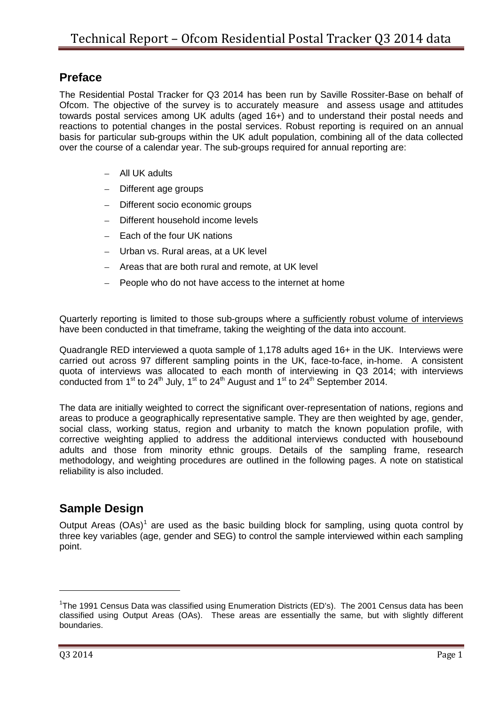### **Preface**

The Residential Postal Tracker for Q3 2014 has been run by Saville Rossiter-Base on behalf of Ofcom. The objective of the survey is to accurately measure and assess usage and attitudes towards postal services among UK adults (aged 16+) and to understand their postal needs and reactions to potential changes in the postal services. Robust reporting is required on an annual basis for particular sub-groups within the UK adult population, combining all of the data collected over the course of a calendar year. The sub-groups required for annual reporting are:

- All UK adults
- Different age groups
- Different socio economic groups
- Different household income levels
- Each of the four UK nations
- Urban vs. Rural areas, at a UK level
- Areas that are both rural and remote, at UK level
- People who do not have access to the internet at home

Quarterly reporting is limited to those sub-groups where a sufficiently robust volume of interviews have been conducted in that timeframe, taking the weighting of the data into account.

Quadrangle RED interviewed a quota sample of 1,178 adults aged 16+ in the UK. Interviews were carried out across 97 different sampling points in the UK, face-to-face, in-home. A consistent quota of interviews was allocated to each month of interviewing in Q3 2014; with interviews conducted from 1<sup>st</sup> to 24<sup>th</sup> July, 1<sup>st</sup> to 24<sup>th</sup> August and 1<sup>st</sup> to 24<sup>th</sup> September 2014.

The data are initially weighted to correct the significant over-representation of nations, regions and areas to produce a geographically representative sample. They are then weighted by age, gender, social class, working status, region and urbanity to match the known population profile, with corrective weighting applied to address the additional interviews conducted with housebound adults and those from minority ethnic groups. Details of the sampling frame, research methodology, and weighting procedures are outlined in the following pages. A note on statistical reliability is also included.

## **Sample Design**

Output Areas  $(OAs)<sup>1</sup>$  $(OAs)<sup>1</sup>$  $(OAs)<sup>1</sup>$  are used as the basic building block for sampling, using quota control by three key variables (age, gender and SEG) to control the sample interviewed within each sampling point.

<u>.</u>

<span id="page-0-0"></span><sup>&</sup>lt;sup>1</sup>The 1991 Census Data was classified using Enumeration Districts (ED's). The 2001 Census data has been classified using Output Areas (OAs). These areas are essentially the same, but with slightly different boundaries.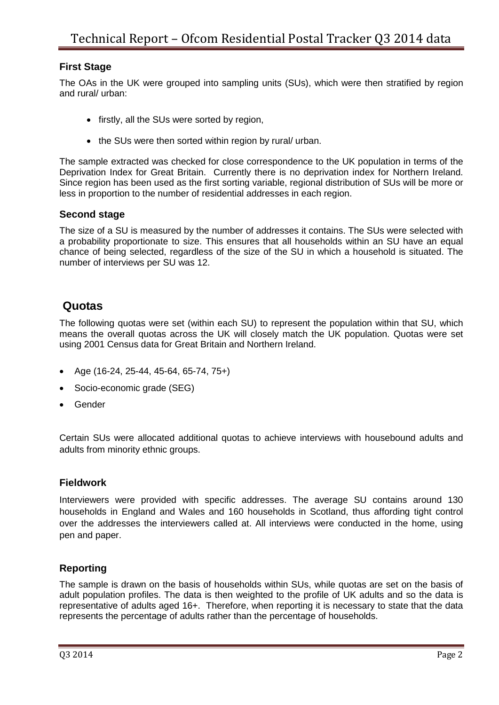### **First Stage**

The OAs in the UK were grouped into sampling units (SUs), which were then stratified by region and rural/ urban:

- firstly, all the SUs were sorted by region,
- the SUs were then sorted within region by rural/ urban.

The sample extracted was checked for close correspondence to the UK population in terms of the Deprivation Index for Great Britain. Currently there is no deprivation index for Northern Ireland. Since region has been used as the first sorting variable, regional distribution of SUs will be more or less in proportion to the number of residential addresses in each region.

#### **Second stage**

The size of a SU is measured by the number of addresses it contains. The SUs were selected with a probability proportionate to size. This ensures that all households within an SU have an equal chance of being selected, regardless of the size of the SU in which a household is situated. The number of interviews per SU was 12.

### **Quotas**

The following quotas were set (within each SU) to represent the population within that SU, which means the overall quotas across the UK will closely match the UK population. Quotas were set using 2001 Census data for Great Britain and Northern Ireland.

- Age (16-24, 25-44, 45-64, 65-74, 75+)
- Socio-economic grade (SEG)
- Gender

Certain SUs were allocated additional quotas to achieve interviews with housebound adults and adults from minority ethnic groups.

#### **Fieldwork**

Interviewers were provided with specific addresses. The average SU contains around 130 households in England and Wales and 160 households in Scotland, thus affording tight control over the addresses the interviewers called at. All interviews were conducted in the home, using pen and paper.

### **Reporting**

The sample is drawn on the basis of households within SUs, while quotas are set on the basis of adult population profiles. The data is then weighted to the profile of UK adults and so the data is representative of adults aged 16+. Therefore, when reporting it is necessary to state that the data represents the percentage of adults rather than the percentage of households.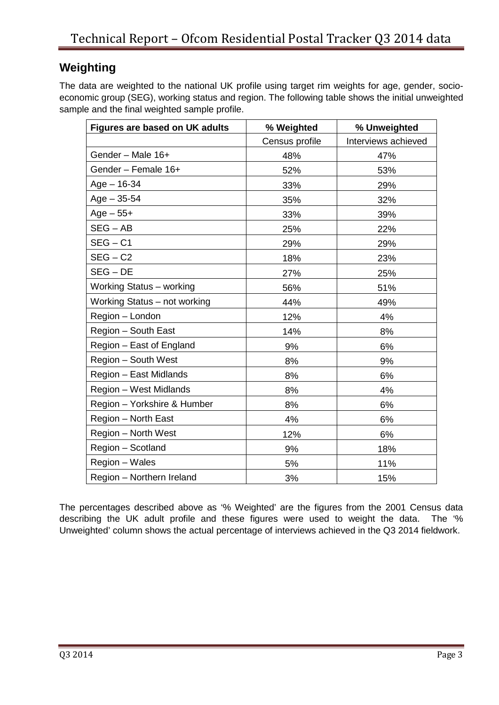# **Weighting**

The data are weighted to the national UK profile using target rim weights for age, gender, socioeconomic group (SEG), working status and region. The following table shows the initial unweighted sample and the final weighted sample profile.

| <b>Figures are based on UK adults</b> | % Weighted     | % Unweighted        |
|---------------------------------------|----------------|---------------------|
|                                       | Census profile | Interviews achieved |
| Gender - Male 16+                     | 48%            | 47%                 |
| Gender - Female 16+                   | 52%            | 53%                 |
| $Age - 16-34$                         | 33%            | 29%                 |
| $Age - 35 - 54$                       | 35%            | 32%                 |
| $Age - 55 +$                          | 33%            | 39%                 |
| $SEG - AB$                            | 25%            | 22%                 |
| $SEG - C1$                            | 29%            | 29%                 |
| $SEG - C2$                            | 18%            | 23%                 |
| $SEG - DE$                            | 27%            | 25%                 |
| Working Status - working              | 56%            | 51%                 |
| Working Status - not working          | 44%            | 49%                 |
| Region - London                       | 12%            | 4%                  |
| Region - South East                   | 14%            | 8%                  |
| Region – East of England              | 9%             | 6%                  |
| Region - South West                   | 8%             | 9%                  |
| Region - East Midlands                | 8%             | 6%                  |
| Region - West Midlands                | 8%             | 4%                  |
| Region - Yorkshire & Humber           | 8%             | 6%                  |
| Region - North East                   | 4%             | 6%                  |
| Region - North West                   | 12%            | 6%                  |
| Region - Scotland                     | 9%             | 18%                 |
| Region - Wales                        | 5%             | 11%                 |
| Region - Northern Ireland             | 3%             | 15%                 |

The percentages described above as '% Weighted' are the figures from the 2001 Census data describing the UK adult profile and these figures were used to weight the data. The '% Unweighted' column shows the actual percentage of interviews achieved in the Q3 2014 fieldwork.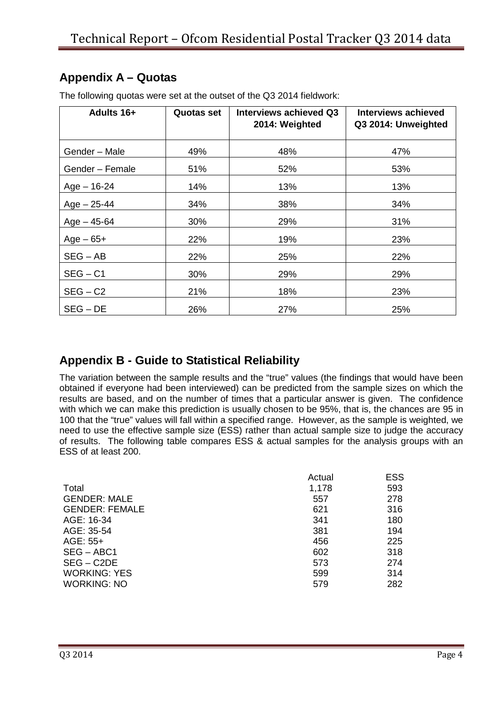# **Appendix A – Quotas**

| <b>Adults 16+</b> | <b>Quotas set</b> | <b>Interviews achieved Q3</b><br>2014: Weighted | <b>Interviews achieved</b><br>Q3 2014: Unweighted |  |
|-------------------|-------------------|-------------------------------------------------|---------------------------------------------------|--|
| Gender - Male     | 49%               | 48%                                             | 47%                                               |  |
| Gender - Female   | 51%               | 52%                                             | 53%                                               |  |
| $Age - 16-24$     | 14%               | 13%                                             | 13%                                               |  |
| $Age - 25-44$     | 34%               | 38%                                             | 34%                                               |  |
| $Age - 45-64$     | 30%               | 29%                                             | 31%                                               |  |
| $Age-65+$         | 22%               | 19%                                             | 23%                                               |  |
| $SEG - AB$        | 22%               | 25%                                             | 22%                                               |  |
| $SEG - C1$        | 30%               | 29%                                             | 29%                                               |  |
| $SEG - C2$        | 21%               | 18%                                             | 23%                                               |  |
| $SEG - DE$        | 26%               | 27%                                             | 25%                                               |  |

The following quotas were set at the outset of the Q3 2014 fieldwork:

## **Appendix B - Guide to Statistical Reliability**

The variation between the sample results and the "true" values (the findings that would have been obtained if everyone had been interviewed) can be predicted from the sample sizes on which the results are based, and on the number of times that a particular answer is given. The confidence with which we can make this prediction is usually chosen to be 95%, that is, the chances are 95 in 100 that the "true" values will fall within a specified range. However, as the sample is weighted, we need to use the effective sample size (ESS) rather than actual sample size to judge the accuracy of results. The following table compares ESS & actual samples for the analysis groups with an ESS of at least 200.

| Actual | <b>ESS</b> |
|--------|------------|
| 1,178  | 593        |
| 557    | 278        |
| 621    | 316        |
| 341    | 180        |
| 381    | 194        |
| 456    | 225        |
| 602    | 318        |
| 573    | 274        |
| 599    | 314        |
| 579    | 282        |
|        |            |